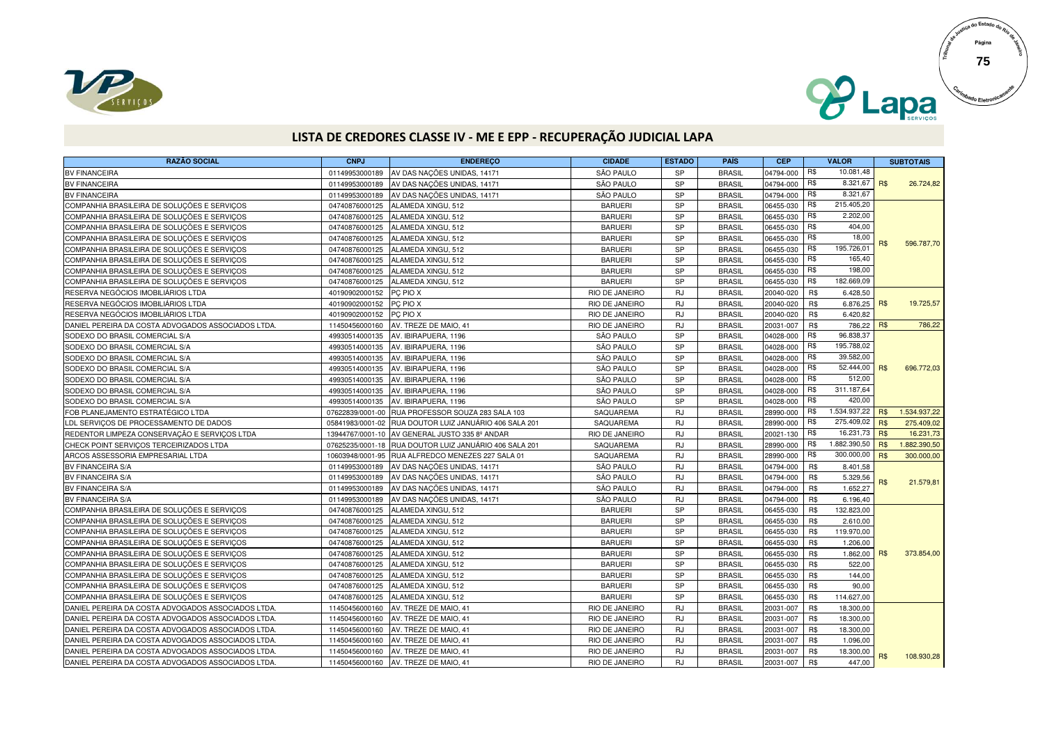



## **LISTA DE CREDORES CLASSE IV - ME E EPP - RECUPERAÇÃO JUDICIAL LAPA**

| <b>RAZÃO SOCIAL</b>                                | <b>CNPJ</b>    | <b>ENDEREÇO</b>                                        | <b>CIDADE</b>  | <b>ESTADO</b> | <b>PAÍS</b>   | <b>CEP</b> |     | <b>VALOR</b>   |            | <b>SUBTOTAIS</b> |
|----------------------------------------------------|----------------|--------------------------------------------------------|----------------|---------------|---------------|------------|-----|----------------|------------|------------------|
| <b>BV FINANCEIRA</b>                               | 01149953000189 | AV DAS NAÇÕES UNIDAS, 14171                            | SÃO PAULO      | <b>SP</b>     | <b>BRASIL</b> | 04794-000  | R\$ | 10.081,48      |            |                  |
| <b>BV FINANCEIRA</b>                               | 01149953000189 | AV DAS NAÇÕES UNIDAS, 14171                            | SÃO PAULO      | <b>SP</b>     | <b>BRASIL</b> | 04794-000  | R\$ | 8.321,67       | <b>R\$</b> | 26.724,82        |
| <b>BV FINANCEIRA</b>                               | 01149953000189 | AV DAS NAÇÕES UNIDAS, 14171                            | SÃO PAULO      | <b>SP</b>     | <b>BRASIL</b> | 04794-000  | R\$ | 8.321,67       |            |                  |
| COMPANHIA BRASILEIRA DE SOLUÇÕES E SERVIÇOS        | 04740876000125 | ALAMEDA XINGU, 512                                     | <b>BARUERI</b> | <b>SP</b>     | <b>BRASIL</b> | 06455-030  | R\$ | 215.405,20     |            |                  |
| COMPANHIA BRASILEIRA DE SOLUÇÕES E SERVIÇOS        | 04740876000125 | ALAMEDA XINGU, 512                                     | <b>BARUERI</b> | <b>SP</b>     | <b>BRASIL</b> | 06455-030  | R\$ | 2.202,00       |            |                  |
| COMPANHIA BRASILEIRA DE SOLUÇÕES E SERVIÇOS        | 04740876000125 | ALAMEDA XINGU, 512                                     | <b>BARUERI</b> | <b>SP</b>     | <b>BRASIL</b> | 06455-030  | R\$ | 404,00         |            |                  |
| COMPANHIA BRASILEIRA DE SOLUÇÕES E SERVICOS        | 04740876000125 | ALAMEDA XINGU, 512                                     | <b>BARUERI</b> | <b>SP</b>     | <b>BRASIL</b> | 06455-030  | R\$ | 18,00          |            | 596.787,70       |
| COMPANHIA BRASILEIRA DE SOLUÇÕES E SERVIÇOS        | 04740876000125 | ALAMEDA XINGU, 512                                     | <b>BARUERI</b> | <b>SP</b>     | <b>BRASIL</b> | 06455-030  | R\$ | 195.726,01     |            |                  |
| COMPANHIA BRASILEIRA DE SOLUÇÕES E SERVIÇOS        | 04740876000125 | ALAMEDA XINGU, 512                                     | <b>BARUERI</b> | <b>SP</b>     | <b>BRASIL</b> | 06455-030  | R\$ | 165,40         |            |                  |
| COMPANHIA BRASILEIRA DE SOLUÇÕES E SERVIÇOS        | 04740876000125 | ALAMEDA XINGU, 512                                     | <b>BARUERI</b> | <b>SP</b>     | <b>BRASIL</b> | 06455-030  | R\$ | 198,00         |            |                  |
| COMPANHIA BRASILEIRA DE SOLUÇÕES E SERVIÇOS        | 04740876000125 | ALAMEDA XINGU, 512                                     | <b>BARUERI</b> | <b>SP</b>     | <b>BRASIL</b> | 06455-030  | R\$ | 182.669,09     |            |                  |
| RESERVA NEGÓCIOS IMOBILIÁRIOS LTDA                 | 40190902000152 | PC PIO X                                               | RIO DE JANEIRO | <b>RJ</b>     | <b>BRASIL</b> | 20040-020  | R\$ | 6.428,50       |            |                  |
| RESERVA NEGÓCIOS IMOBILIÁRIOS LTDA                 | 40190902000152 | PC PIO X                                               | RIO DE JANEIRO | <b>RJ</b>     | <b>BRASIL</b> | 20040-020  | R\$ | $6.876,25$ R\$ |            | 19.725,57        |
| RESERVA NEGÓCIOS IMOBILIÁRIOS LTDA                 | 40190902000152 | PC PIO X                                               | RIO DE JANEIRO | <b>RJ</b>     | <b>BRASIL</b> | 20040-020  | R\$ | 6.420,82       |            |                  |
| DANIEL PEREIRA DA COSTA ADVOGADOS ASSOCIADOS LTDA. | 11450456000160 | AV. TREZE DE MAIO, 41                                  | RIO DE JANEIRO | <b>RJ</b>     | <b>BRASIL</b> | 20031-007  | R\$ | 786.22         | <b>R\$</b> | 786,22           |
| SODEXO DO BRASIL COMERCIAL S/A                     | 49930514000135 | AV. IBIRAPUERA, 1196                                   | SÃO PAULO      | <b>SP</b>     | <b>BRASIL</b> | 04028-000  | R\$ | 96.838,37      |            |                  |
| SODEXO DO BRASIL COMERCIAL S/A                     | 49930514000135 | AV. IBIRAPUERA, 1196                                   | SÃO PAULO      | SP            | <b>BRASIL</b> | 04028-000  | R\$ | 195.788,02     |            |                  |
| SODEXO DO BRASIL COMERCIAL S/A                     | 49930514000135 | AV. IBIRAPUERA, 1196                                   | SÃO PAULO      | <b>SP</b>     | <b>BRASIL</b> | 04028-000  | R\$ | 39.582,00      |            |                  |
| SODEXO DO BRASIL COMERCIAL S/A                     | 49930514000135 | AV. IBIRAPUERA, 1196                                   | SÃO PAULO      | <b>SP</b>     | <b>BRASIL</b> | 04028-000  | R\$ | 52.444,00      | <b>R\$</b> | 696.772,03       |
| SODEXO DO BRASIL COMERCIAL S/A                     | 49930514000135 | AV. IBIRAPUERA, 1196                                   | SÃO PAULO      | SP            | <b>BRASIL</b> | 04028-000  | R\$ | 512,00         |            |                  |
| SODEXO DO BRASIL COMERCIAL S/A                     | 49930514000135 | AV. IBIRAPUERA, 1196                                   | SÃO PAULO      | <b>SP</b>     | <b>BRASIL</b> | 04028-000  | R\$ | 311.187,64     |            |                  |
| SODEXO DO BRASIL COMERCIAL S/A                     | 49930514000135 | AV. IBIRAPUERA, 1196                                   | SÃO PAULO      | SP            | <b>BRASIL</b> | 04028-000  | R\$ | 420,00         |            |                  |
| FOB PLANEJAMENTO ESTRATÉGICO LTDA                  |                | 07622839/0001-00 RUA PROFESSOR SOUZA 283 SALA 103      | SAQUAREMA      | <b>RJ</b>     | <b>BRASIL</b> | 28990-000  | R\$ | 1.534.937,22   | <b>R\$</b> | 1.534.937,22     |
| LDL SERVICOS DE PROCESSAMENTO DE DADOS             |                | 05841983/0001-02 RUA DOUTOR LUIZ JANUÁRIO 406 SALA 201 | SAQUAREMA      | <b>RJ</b>     | <b>BRASIL</b> | 28990-000  | R\$ | 275.409,02     | <b>R\$</b> | 275.409,02       |
| REDENTOR LIMPEZA CONSERVAÇÃO E SERVIÇOS LTDA       |                | 13944767/0001-10 AV GENERAL JUSTO 335 8º ANDAR         | RIO DE JANEIRO | <b>RJ</b>     | <b>BRASIL</b> | 20021-130  | R\$ | 16.231,73      | <b>R\$</b> | 16.231,73        |
| CHECK POINT SERVIÇOS TERCEIRIZADOS LTDA            |                | 07625235/0001-18 RUA DOUTOR LUIZ JANUÁRIO 406 SALA 201 | SAQUAREMA      | <b>RJ</b>     | <b>BRASIL</b> | 28990-000  | R\$ | 1.882.390,50   | <b>R\$</b> | 1.882.390,50     |
| ARCOS ASSESSORIA EMPRESARIAL LTDA                  |                | 10603948/0001-95 RUA ALFREDCO MENEZES 227 SALA 01      | SAQUAREMA      | <b>RJ</b>     | <b>BRASIL</b> | 28990-000  | R\$ | 300.000,00     | R\$        | 300.000,00       |
| BV FINANCEIRA S/A                                  | 01149953000189 | AV DAS NAÇÕES UNIDAS, 14171                            | SÃO PAULO      | <b>RJ</b>     | <b>BRASIL</b> | 04794-000  | R\$ | 8.401,58       |            |                  |
| BV FINANCEIRA S/A                                  | 01149953000189 | AV DAS NAÇÕES UNIDAS, 14171                            | SÃO PAULO      | <b>RJ</b>     | <b>BRASIL</b> | 04794-000  | R\$ | 5.329,56       | R\$        | 21.579,81        |
| BV FINANCEIRA S/A                                  | 01149953000189 | AV DAS NAÇÕES UNIDAS, 14171                            | SÃO PAULO      | <b>RJ</b>     | <b>BRASIL</b> | 04794-000  | R\$ | 1.652.27       |            |                  |
| BV FINANCEIRA S/A                                  | 01149953000189 | AV DAS NAÇÕES UNIDAS, 14171                            | SÃO PAULO      | RJ            | <b>BRASIL</b> | 04794-000  | R\$ | 6.196,40       |            |                  |
| COMPANHIA BRASILEIRA DE SOLUÇÕES E SERVIÇOS        | 04740876000125 | ALAMEDA XINGU, 512                                     | <b>BARUERI</b> | <b>SP</b>     | <b>BRASIL</b> | 06455-030  | R\$ | 132.823,00     |            |                  |
| COMPANHIA BRASILEIRA DE SOLUÇÕES E SERVIÇOS        | 04740876000125 | ALAMEDA XINGU, 512                                     | <b>BARUERI</b> | <b>SP</b>     | <b>BRASIL</b> | 06455-030  | R\$ | 2.610,00       |            |                  |
| COMPANHIA BRASILEIRA DE SOLUÇÕES E SERVIÇOS        | 04740876000125 | ALAMEDA XINGU, 512                                     | <b>BARUERI</b> | SP            | <b>BRASIL</b> | 06455-030  | R\$ | 119.970,00     |            |                  |
| COMPANHIA BRASILEIRA DE SOLUÇÕES E SERVICOS        | 04740876000125 | ALAMEDA XINGU, 512                                     | <b>BARUERI</b> | <b>SP</b>     | <b>BRASIL</b> | 06455-030  | R\$ | 1.206,00       |            |                  |
| COMPANHIA BRASILEIRA DE SOLUÇÕES E SERVICOS        | 04740876000125 | ALAMEDA XINGU, 512                                     | <b>BARUERI</b> | <b>SP</b>     | <b>BRASIL</b> | 06455-030  | R\$ | 1.862,00       | <b>R\$</b> | 373.854,00       |
| COMPANHIA BRASILEIRA DE SOLUÇÕES E SERVIÇOS        | 04740876000125 | ALAMEDA XINGU, 512                                     | <b>BARUERI</b> | SP            | <b>BRASIL</b> | 06455-030  | R\$ | 522,00         |            |                  |
| COMPANHIA BRASILEIRA DE SOLUÇÕES E SERVIÇOS        | 04740876000125 | ALAMEDA XINGU, 512                                     | <b>BARUERI</b> | <b>SP</b>     | <b>BRASIL</b> | 06455-030  | R\$ | 144,00         |            |                  |
| COMPANHIA BRASILEIRA DE SOLUÇÕES E SERVIÇOS        | 04740876000125 | ALAMEDA XINGU, 512                                     | <b>BARUERI</b> | SP            | <b>BRASIL</b> | 06455-030  | R\$ | 90,00          |            |                  |
| COMPANHIA BRASILEIRA DE SOLUÇÕES E SERVIÇOS        | 04740876000125 | ALAMEDA XINGU, 512                                     | <b>BARUERI</b> | SP            | <b>BRASIL</b> | 06455-030  | R\$ | 114.627,00     |            |                  |
| DANIEL PEREIRA DA COSTA ADVOGADOS ASSOCIADOS LTDA. | 11450456000160 | AV. TREZE DE MAIO, 41                                  | RIO DE JANEIRO | <b>RJ</b>     | <b>BRASIL</b> | 20031-007  | R\$ | 18.300,00      |            |                  |
| DANIEL PEREIRA DA COSTA ADVOGADOS ASSOCIADOS LTDA. | 11450456000160 | AV. TREZE DE MAIO, 41                                  | RIO DE JANEIRO | <b>RJ</b>     | <b>BRASIL</b> | 20031-007  | R\$ | 18.300,00      |            |                  |
| DANIEL PEREIRA DA COSTA ADVOGADOS ASSOCIADOS LTDA. | 11450456000160 | AV. TREZE DE MAIO, 41                                  | RIO DE JANEIRO | <b>RJ</b>     | <b>BRASIL</b> | 20031-007  | R\$ | 18.300,00      |            |                  |
| DANIEL PEREIRA DA COSTA ADVOGADOS ASSOCIADOS LTDA. | 11450456000160 | AV. TREZE DE MAIO, 41                                  | RIO DE JANEIRO | <b>RJ</b>     | <b>BRASIL</b> | 20031-007  | R\$ | 1.096,00       |            |                  |
| DANIEL PEREIRA DA COSTA ADVOGADOS ASSOCIADOS LTDA. | 11450456000160 | AV. TREZE DE MAIO, 41                                  | RIO DE JANEIRO | <b>RJ</b>     | <b>BRASIL</b> | 20031-007  | R\$ | 18.300,00      | R\$        | 108.930,28       |
| DANIEL PEREIRA DA COSTA ADVOGADOS ASSOCIADOS LTDA. | 11450456000160 | AV. TREZE DE MAIO, 41                                  | RIO DE JANEIRO | <b>RJ</b>     | <b>BRASIL</b> | 20031-007  | R\$ | 447,00         |            |                  |